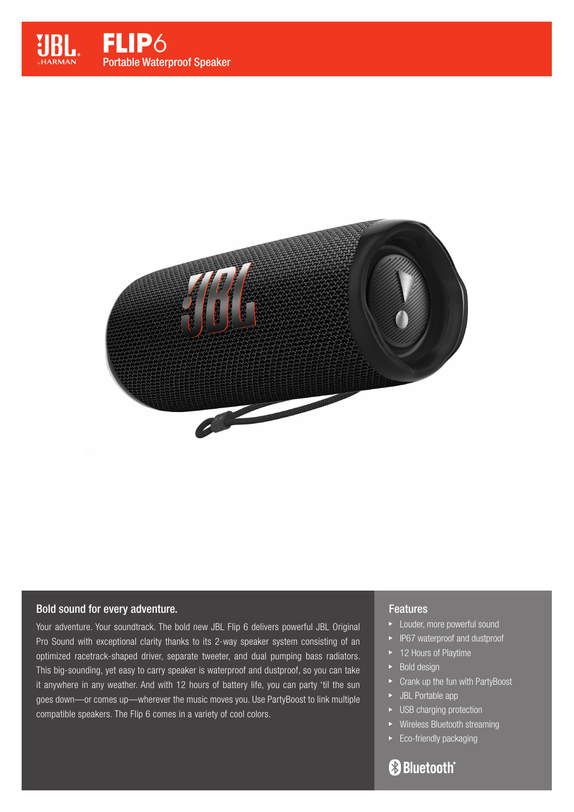



#### Bold sound for every adventure.

Your adventure. Your soundtrack. The bold new JBL Flip 6 delivers powerful JBL Original Pro Sound with exceptional clarity thanks to its 2-way speaker system consisting of an optimized racetrack-shaped driver, separate tweeter, and dual pumping bass radiators. This big-sounding, yet easy to carry speaker is waterproof and dustproof, so you can take it anywhere in any weather. And with 12 hours of battery life, you can party 'til the sun goes down—or comes up—wherever the music moves you. Use PartyBoost to link multiple compatible speakers. The Flip 6 comes in a variety of cool colors.

#### **Features**

- **Louder, more powerful sound**
- IP67 waterproof and dustproof
- ▶ 12 Hours of Playtime
- $\blacktriangleright$  Bold design
- ► Crank up the fun with PartyBoost
- JBL Portable app
- **EXECUSE Charging protection**
- Wireless Bluetooth streaming
- Eco-friendly packaging

# **Bluetooth**®